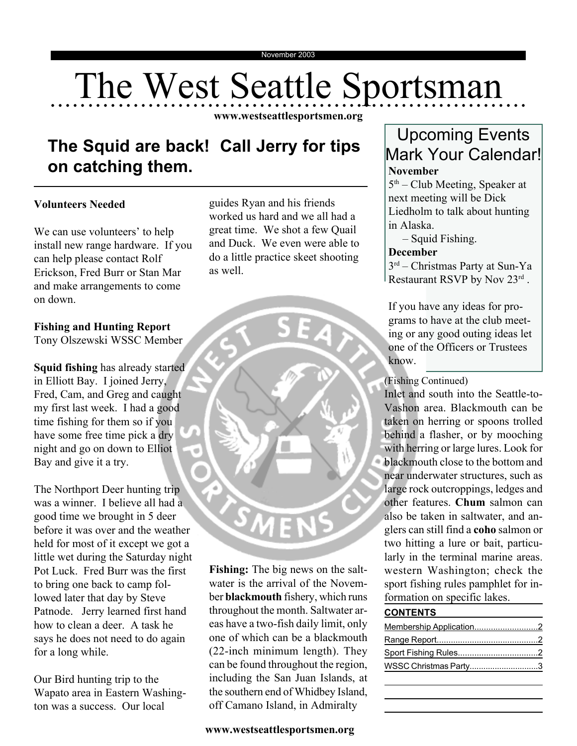# The West Seattle Sportsman

**www.westseattlesportsmen.org**

## **The Squid are back! Call Jerry for tips on catching them.**

#### **Volunteers Needed**

We can use volunteers' to help install new range hardware. If you can help please contact Rolf Erickson, Fred Burr or Stan Mar and make arrangements to come on down.

#### **Fishing and Hunting Report**

Tony Olszewski WSSC Member

**Squid fishing** has already started in Elliott Bay. I joined Jerry, Fred, Cam, and Greg and caught my first last week. I had a good time fishing for them so if you have some free time pick a dry night and go on down to Elliot Bay and give it a try.

The Northport Deer hunting trip was a winner. I believe all had a good time we brought in 5 deer before it was over and the weather held for most of it except we got a little wet during the Saturday night Pot Luck. Fred Burr was the first to bring one back to camp followed later that day by Steve Patnode. Jerry learned first hand how to clean a deer. A task he says he does not need to do again for a long while.

Our Bird hunting trip to the Wapato area in Eastern Washington was a success. Our local

guides Ryan and his friends worked us hard and we all had a great time. We shot a few Quail and Duck. We even were able to do a little practice skeet shooting as well.



**Fishing:** The big news on the saltwater is the arrival of the November **blackmouth** fishery, which runs throughout the month. Saltwater areas have a two-fish daily limit, only one of which can be a blackmouth (22-inch minimum length). They can be found throughout the region, including the San Juan Islands, at the southern end of Whidbey Island, off Camano Island, in Admiralty

### Upcoming Events Mark Your Calendar! **November**

 $5<sup>th</sup>$  – Club Meeting, Speaker at next meeting will be Dick Liedholm to talk about hunting in Alaska.

– Squid Fishing.

#### **December**

3rd – Christmas Party at Sun-Ya Restaurant RSVP by Nov  $23^{\text{rd}}$ .

If you have any ideas for programs to have at the club meeting or any good outing ideas let one of the Officers or Trustees know.

(Fishing Continued)

Inlet and south into the Seattle-to-Vashon area. Blackmouth can be taken on herring or spoons trolled behind a flasher, or by mooching with herring or large lures. Look for blackmouth close to the bottom and near underwater structures, such as large rock outcroppings, ledges and other features. **Chum** salmon can also be taken in saltwater, and anglers can still find a **coho** salmon or two hitting a lure or bait, particularly in the terminal marine areas. western Washington; check the sport fishing rules pamphlet for information on specific lakes.

#### **CONTENTS**

| WSSC Christmas Party3 |  |
|-----------------------|--|
|                       |  |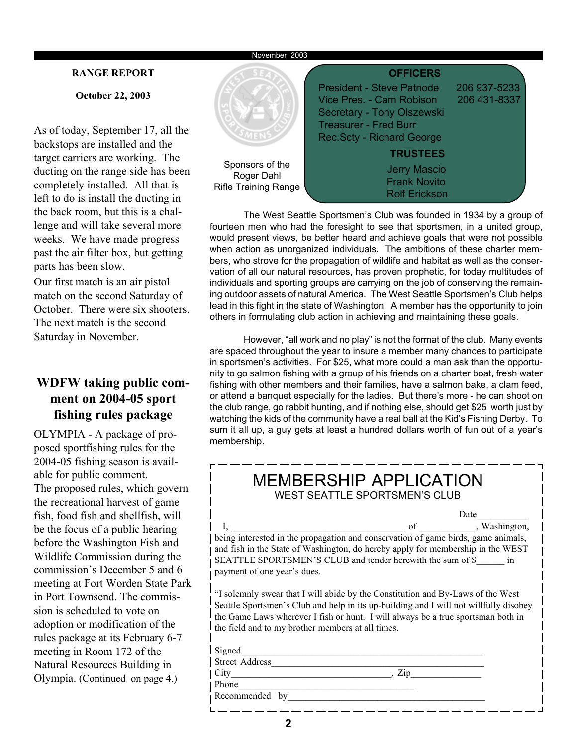#### **RANGE REPORT**

**October 22, 2003**

As of today, September 17, all the backstops are installed and the target carriers are working. The ducting on the range side has been completely installed. All that is left to do is install the ducting in the back room, but this is a challenge and will take several more weeks. We have made progress past the air filter box, but getting parts has been slow.

Our first match is an air pistol match on the second Saturday of October. There were six shooters. The next match is the second Saturday in November.

#### **WDFW taking public comment on 2004-05 sport fishing rules package**

OLYMPIA - A package of proposed sportfishing rules for the 2004-05 fishing season is available for public comment. The proposed rules, which govern the recreational harvest of game fish, food fish and shellfish, will be the focus of a public hearing before the Washington Fish and Wildlife Commission during the commission's December 5 and 6 meeting at Fort Worden State Park in Port Townsend. The commission is scheduled to vote on adoption or modification of the rules package at its February 6-7 meeting in Room 172 of the Natural Resources Building in Olympia. (Continued on page 4.)



The West Seattle Sportsmen's Club was founded in 1934 by a group of fourteen men who had the foresight to see that sportsmen, in a united group, would present views, be better heard and achieve goals that were not possible when action as unorganized individuals. The ambitions of these charter members, who strove for the propagation of wildlife and habitat as well as the conservation of all our natural resources, has proven prophetic, for today multitudes of individuals and sporting groups are carrying on the job of conserving the remaining outdoor assets of natural America. The West Seattle Sportsmen's Club helps lead in this fight in the state of Washington. A member has the opportunity to join others in formulating club action in achieving and maintaining these goals.

However, "all work and no play" is not the format of the club. Many events are spaced throughout the year to insure a member many chances to participate in sportsmen's activities. For \$25, what more could a man ask than the opportunity to go salmon fishing with a group of his friends on a charter boat, fresh water fishing with other members and their families, have a salmon bake, a clam feed, or attend a banquet especially for the ladies. But there's more - he can shoot on the club range, go rabbit hunting, and if nothing else, should get \$25 worth just by watching the kids of the community have a real ball at the Kid's Fishing Derby. To sum it all up, a guy gets at least a hundred dollars worth of fun out of a year's membership.

| MEMBERSHIP APPLICATION<br><b>WEST SEATTLE SPORTSMEN'S CLUB</b>                                                                                                                                                                                                                                                    |  |  |  |  |  |  |
|-------------------------------------------------------------------------------------------------------------------------------------------------------------------------------------------------------------------------------------------------------------------------------------------------------------------|--|--|--|--|--|--|
| Date                                                                                                                                                                                                                                                                                                              |  |  |  |  |  |  |
| I, washington, being interested in the propagation and conservation of game birds, game animals,                                                                                                                                                                                                                  |  |  |  |  |  |  |
|                                                                                                                                                                                                                                                                                                                   |  |  |  |  |  |  |
| and fish in the State of Washington, do hereby apply for membership in the WEST                                                                                                                                                                                                                                   |  |  |  |  |  |  |
| SEATTLE SPORTSMEN'S CLUB and tender herewith the sum of \$ in                                                                                                                                                                                                                                                     |  |  |  |  |  |  |
| payment of one year's dues.                                                                                                                                                                                                                                                                                       |  |  |  |  |  |  |
| "I solemnly swear that I will abide by the Constitution and By-Laws of the West<br>Seattle Sportsmen's Club and help in its up-building and I will not willfully disobey<br>the Game Laws wherever I fish or hunt. I will always be a true sportsman both in<br>the field and to my brother members at all times. |  |  |  |  |  |  |
| Signed                                                                                                                                                                                                                                                                                                            |  |  |  |  |  |  |
| Street Address                                                                                                                                                                                                                                                                                                    |  |  |  |  |  |  |
| $City$ $Zip$                                                                                                                                                                                                                                                                                                      |  |  |  |  |  |  |
|                                                                                                                                                                                                                                                                                                                   |  |  |  |  |  |  |
| Recommended by                                                                                                                                                                                                                                                                                                    |  |  |  |  |  |  |
|                                                                                                                                                                                                                                                                                                                   |  |  |  |  |  |  |

**2**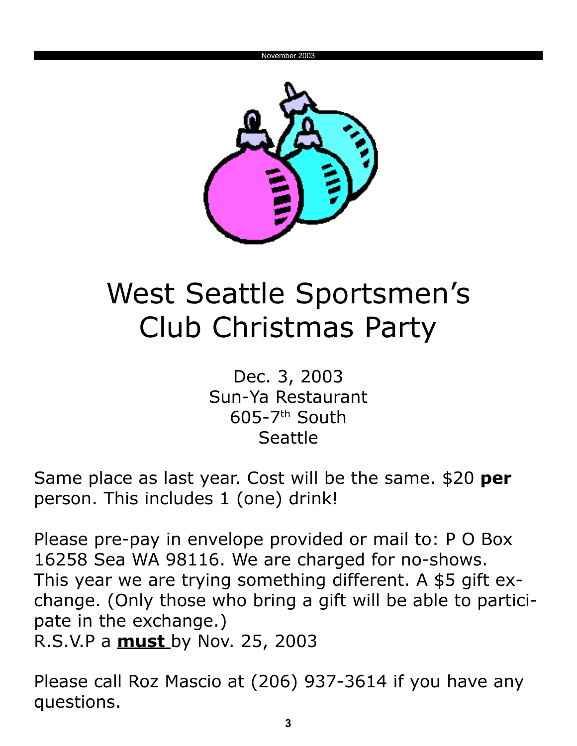

## West Seattle Sportsmen's Club Christmas Party

Dec. 3, 2003 Sun-Ya Restaurant  $605-7$ <sup>th</sup> South Seattle

Same place as last year. Cost will be the same. \$20 **per** person. This includes 1 (one) drink!

Please pre-pay in envelope provided or mail to: P O Box 16258 Sea WA 98116. We are charged for no-shows. This year we are trying something different. A \$5 gift exchange. (Only those who bring a gift will be able to participate in the exchange.) R.S.V.P a **must** by Nov. 25, 2003

Please call Roz Mascio at (206) 937-3614 if you have any questions.